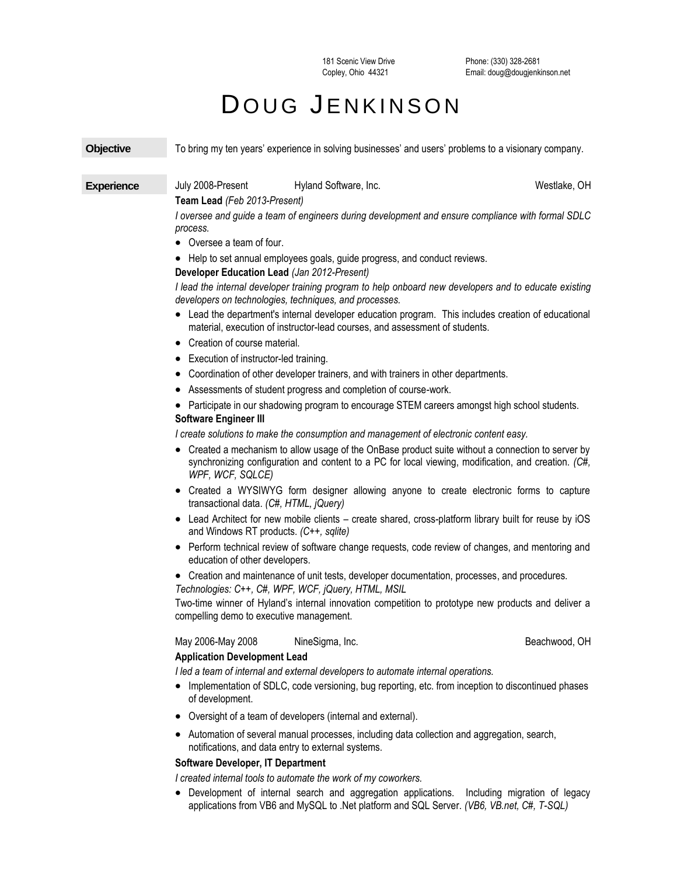181 Scenic View Drive Copley, Ohio 44321

## DOUG JENKINSON

| <b>Objective</b>  | To bring my ten years' experience in solving businesses' and users' problems to a visionary company.                                                                                                                          |
|-------------------|-------------------------------------------------------------------------------------------------------------------------------------------------------------------------------------------------------------------------------|
| <b>Experience</b> | July 2008-Present<br>Hyland Software, Inc.<br>Westlake, OH                                                                                                                                                                    |
|                   | Team Lead (Feb 2013-Present)<br>I oversee and guide a team of engineers during development and ensure compliance with formal SDLC<br>process.                                                                                 |
|                   | • Oversee a team of four.                                                                                                                                                                                                     |
|                   | • Help to set annual employees goals, guide progress, and conduct reviews.<br>Developer Education Lead (Jan 2012-Present)                                                                                                     |
|                   | I lead the internal developer training program to help onboard new developers and to educate existing<br>developers on technologies, techniques, and processes.                                                               |
|                   | • Lead the department's internal developer education program. This includes creation of educational<br>material, execution of instructor-lead courses, and assessment of students.                                            |
|                   | • Creation of course material.                                                                                                                                                                                                |
|                   | • Execution of instructor-led training.                                                                                                                                                                                       |
|                   | • Coordination of other developer trainers, and with trainers in other departments.                                                                                                                                           |
|                   | • Assessments of student progress and completion of course-work.                                                                                                                                                              |
|                   | • Participate in our shadowing program to encourage STEM careers amongst high school students.<br><b>Software Engineer III</b>                                                                                                |
|                   | I create solutions to make the consumption and management of electronic content easy.                                                                                                                                         |
|                   | • Created a mechanism to allow usage of the OnBase product suite without a connection to server by<br>synchronizing configuration and content to a PC for local viewing, modification, and creation. (C#,<br>WPF, WCF, SQLCE) |
|                   | • Created a WYSIWYG form designer allowing anyone to create electronic forms to capture<br>transactional data. (C#, HTML, jQuery)                                                                                             |
|                   | • Lead Architect for new mobile clients - create shared, cross-platform library built for reuse by iOS<br>and Windows RT products. (C++, sqlite)                                                                              |
|                   | • Perform technical review of software change requests, code review of changes, and mentoring and<br>education of other developers.                                                                                           |
|                   | • Creation and maintenance of unit tests, developer documentation, processes, and procedures.<br>Technologies: C++, C#, WPF, WCF, jQuery, HTML, MSIL                                                                          |
|                   | Two-time winner of Hyland's internal innovation competition to prototype new products and deliver a<br>compelling demo to executive management.                                                                               |
|                   | May 2006-May 2008<br>NineSigma, Inc.<br>Beachwood, OH<br><b>Application Development Lead</b>                                                                                                                                  |
|                   | I led a team of internal and external developers to automate internal operations.<br>Implementation of SDLC, code versioning, bug reporting, etc. from inception to discontinued phases<br>of development.                    |
|                   | Oversight of a team of developers (internal and external).<br>٠                                                                                                                                                               |
|                   | • Automation of several manual processes, including data collection and aggregation, search,<br>notifications, and data entry to external systems.                                                                            |
|                   | Software Developer, IT Department                                                                                                                                                                                             |
|                   | I created internal tools to automate the work of my coworkers.                                                                                                                                                                |
|                   | • Development of internal search and aggregation applications.<br>Including migration of legacy                                                                                                                               |

applications from VB6 and MySQL to .Net platform and SQL Server. *(VB6, VB.net, C#, T-SQL)*